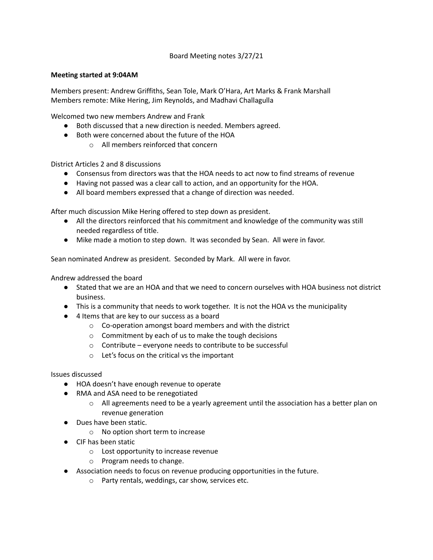Board Meeting notes 3/27/21

## **Meeting started at 9:04AM**

Members present: Andrew Griffiths, Sean Tole, Mark O'Hara, Art Marks & Frank Marshall Members remote: Mike Hering, Jim Reynolds, and Madhavi Challagulla

Welcomed two new members Andrew and Frank

- Both discussed that a new direction is needed. Members agreed.
- Both were concerned about the future of the HOA
	- o All members reinforced that concern

District Articles 2 and 8 discussions

- Consensus from directors was that the HOA needs to act now to find streams of revenue
- Having not passed was a clear call to action, and an opportunity for the HOA.
- All board members expressed that a change of direction was needed.

After much discussion Mike Hering offered to step down as president.

- All the directors reinforced that his commitment and knowledge of the community was still needed regardless of title.
- Mike made a motion to step down. It was seconded by Sean. All were in favor.

Sean nominated Andrew as president. Seconded by Mark. All were in favor.

Andrew addressed the board

- Stated that we are an HOA and that we need to concern ourselves with HOA business not district business.
- This is a community that needs to work together. It is not the HOA vs the municipality
- 4 Items that are key to our success as a board
	- o Co-operation amongst board members and with the district
	- o Commitment by each of us to make the tough decisions
	- o Contribute everyone needs to contribute to be successful
	- o Let's focus on the critical vs the important

Issues discussed

- HOA doesn't have enough revenue to operate
- RMA and ASA need to be renegotiated
	- $\circ$  All agreements need to be a yearly agreement until the association has a better plan on revenue generation
- Dues have been static.
	- o No option short term to increase
- CIF has been static
	- o Lost opportunity to increase revenue
	- o Program needs to change.
- Association needs to focus on revenue producing opportunities in the future.
	- o Party rentals, weddings, car show, services etc.